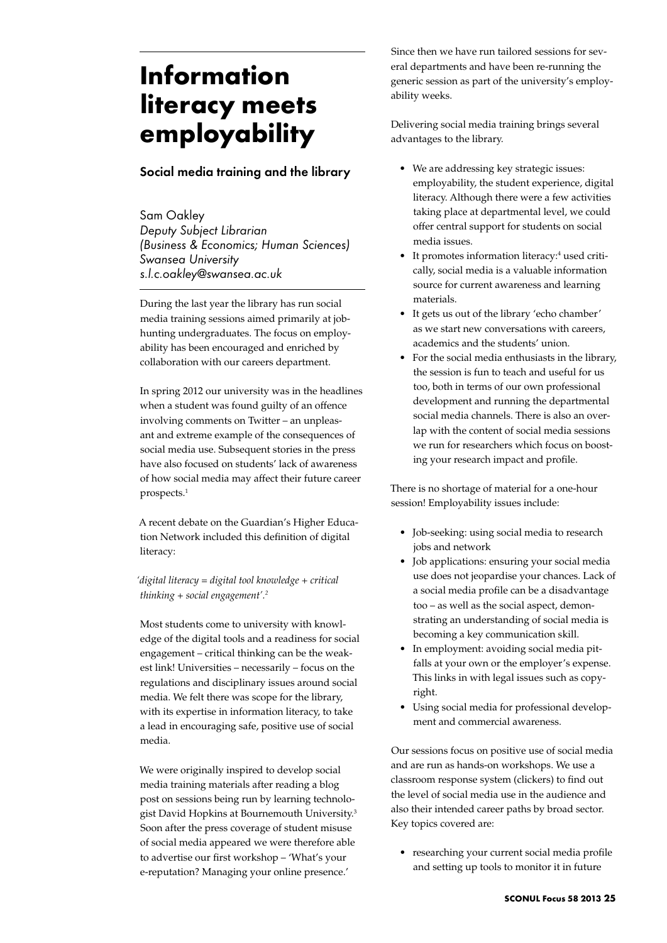## **Information literacy meets employability**

## Social media training and the library

Sam Oakley *Deputy Subject Librarian (Business & Economics; Human Sciences) Swansea University s.l.c.oakley@swansea.ac.uk*

During the last year the library has run social media training sessions aimed primarily at jobhunting undergraduates. The focus on employability has been encouraged and enriched by collaboration with our careers department.

In spring 2012 our university was in the headlines when a student was found guilty of an offence involving comments on Twitter – an unpleasant and extreme example of the consequences of social media use. Subsequent stories in the press have also focused on students' lack of awareness of how social media may affect their future career prospects.1

A recent debate on the Guardian's Higher Education Network included this definition of digital literacy:

*'digital literacy = digital tool knowledge + critical thinking + social engagement'.2*

Most students come to university with knowledge of the digital tools and a readiness for social engagement – critical thinking can be the weakest link! Universities – necessarily – focus on the regulations and disciplinary issues around social media. We felt there was scope for the library, with its expertise in information literacy, to take a lead in encouraging safe, positive use of social media.

We were originally inspired to develop social media training materials after reading a blog post on sessions being run by learning technologist David Hopkins at Bournemouth University.<sup>3</sup> Soon after the press coverage of student misuse of social media appeared we were therefore able to advertise our first workshop – 'What's your e-reputation? Managing your online presence.'

Since then we have run tailored sessions for several departments and have been re-running the generic session as part of the university's employability weeks.

Delivering social media training brings several advantages to the library.

- We are addressing key strategic issues: employability, the student experience, digital literacy. Although there were a few activities taking place at departmental level, we could offer central support for students on social media issues.
- It promotes information literacy:<sup>4</sup> used critically, social media is a valuable information source for current awareness and learning materials.
- It gets us out of the library 'echo chamber' as we start new conversations with careers, academics and the students' union.
- • For the social media enthusiasts in the library, the session is fun to teach and useful for us too, both in terms of our own professional development and running the departmental social media channels. There is also an overlap with the content of social media sessions we run for researchers which focus on boosting your research impact and profile.

There is no shortage of material for a one-hour session! Employability issues include:

- • Job-seeking: using social media to research jobs and network
- • Job applications: ensuring your social media use does not jeopardise your chances. Lack of a social media profile can be a disadvantage too – as well as the social aspect, demonstrating an understanding of social media is becoming a key communication skill.
- • In employment: avoiding social media pitfalls at your own or the employer's expense. This links in with legal issues such as copyright.
- • Using social media for professional development and commercial awareness.

Our sessions focus on positive use of social media and are run as hands-on workshops. We use a classroom response system (clickers) to find out the level of social media use in the audience and also their intended career paths by broad sector. Key topics covered are:

• researching your current social media profile and setting up tools to monitor it in future